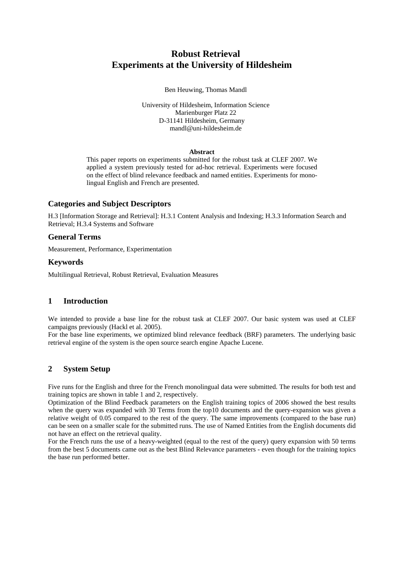# **Robust Retrieval Experiments at the University of Hildesheim**

#### Ben Heuwing, Thomas Mandl

University of Hildesheim, Information Science Marienburger Platz 22 D-31141 Hildesheim, Germany mandl@uni-hildesheim.de

#### **Abstract**

This paper reports on experiments submitted for the robust task at CLEF 2007. We applied a system previously tested for ad-hoc retrieval. Experiments were focused on the effect of blind relevance feedback and named entities. Experiments for monolingual English and French are presented.

## **Categories and Subject Descriptors**

H.3 [Information Storage and Retrieval]: H.3.1 Content Analysis and Indexing; H.3.3 Information Search and Retrieval; H.3.4 Systems and Software

## **General Terms**

Measurement, Performance, Experimentation

## **Keywords**

Multilingual Retrieval, Robust Retrieval, Evaluation Measures

# **1 Introduction**

We intended to provide a base line for the robust task at CLEF 2007. Our basic system was used at CLEF campaigns previously (Hackl et al. 2005).

For the base line experiments, we optimized blind relevance feedback (BRF) parameters. The underlying basic retrieval engine of the system is the open source search engine Apache Lucene.

# **2 System Setup**

Five runs for the English and three for the French monolingual data were submitted. The results for both test and training topics are shown in table 1 and 2, respectively.

Optimization of the Blind Feedback parameters on the English training topics of 2006 showed the best results when the query was expanded with 30 Terms from the top10 documents and the query-expansion was given a relative weight of 0.05 compared to the rest of the query. The same improvements (compared to the base run) can be seen on a smaller scale for the submitted runs. The use of Named Entities from the English documents did not have an effect on the retrieval quality.

For the French runs the use of a heavy-weighted (equal to the rest of the query) query expansion with 50 terms from the best 5 documents came out as the best Blind Relevance parameters - even though for the training topics the base run performed better.